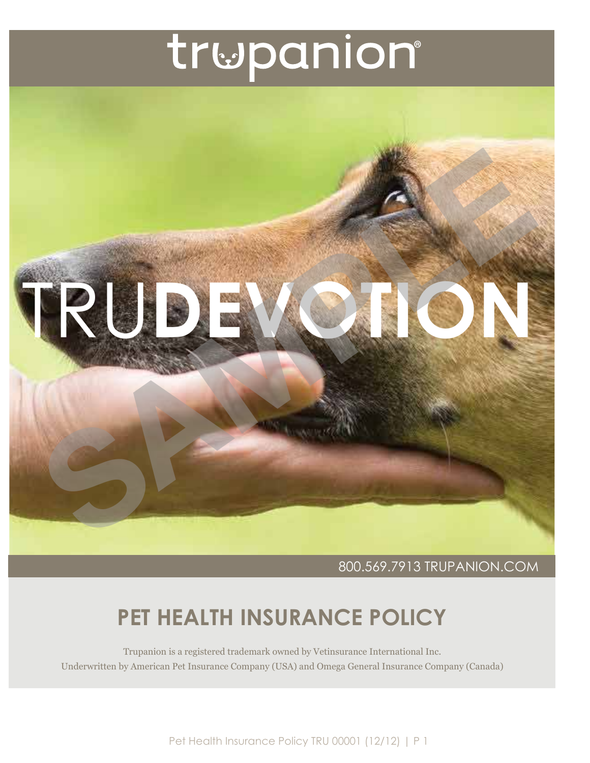# trwpanion®



800.569.7913 TRUPANION.COM

### **PET HEALTH INSURANCE POLICY**

Trupanion is a registered trademark owned by Vetinsurance International Inc. Underwritten by American Pet Insurance Company (USA) and Omega General Insurance Company (Canada)

Pet Health Insurance Policy TRU 00001 (12/12) | P 1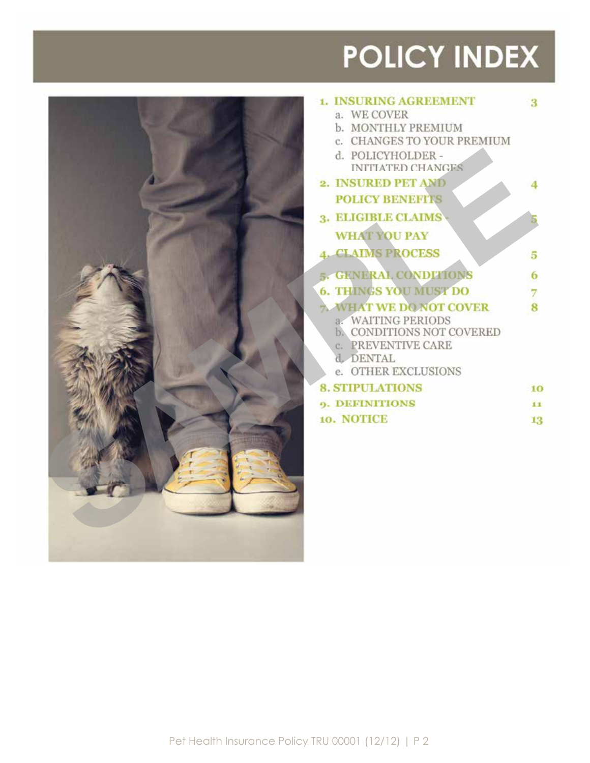## **POLICY INDEX**



| <b>1. INSURING AGREEMENT</b>        | $\cdot$ 3   |
|-------------------------------------|-------------|
| WE COVER<br>a.                      |             |
| b. MONTHLY PREMIUM                  |             |
| c. CHANGES TO YOUR PREMIUM          |             |
| d. POLICYHOLDER -                   |             |
| <b>INITIATED CHANGES</b>            |             |
| 2. INSURED PET AND                  |             |
| <b>POLICY BENEFITS</b>              |             |
| <b>3. ELIGIBLE CLAIMS</b>           |             |
| <b>WHAT YOU PAY</b>                 |             |
| <b>CLAIMS PROCESS</b>               | -5          |
| 5. GENERAL CONDITIONS               | $6^{\circ}$ |
| <b>6. THINGS YOU MUST DO</b>        |             |
| <b>WHAT WE DO NOT COVER</b>         | -8          |
| <b>WAITING PERIODS</b>              |             |
| b.<br>CONDITIONS NOT COVERED        |             |
| <b><i>RREVENTIVE CARE</i></b><br>C. |             |
| d. DENTAL                           |             |
| e. OTHER EXCLUSIONS                 |             |
| <b>8. STIPULATIONS</b>              | 10          |
| <b>0. DEFINITIONS</b>               | i x         |
| 10. NOTICE                          | 13          |
|                                     |             |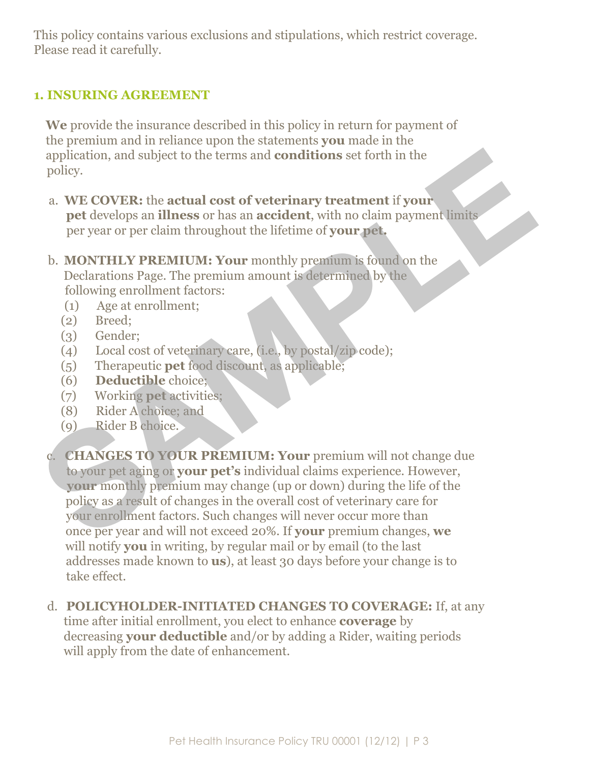This policy contains various exclusions and stipulations, which restrict coverage. Please read it carefully.

#### **1. INSURING AGREEMENT**

 **We** provide the insurance described in this policy in return for payment of the premium and in reliance upon the statements **you** made in the application, and subject to the terms and **conditions** set forth in the policy.

- a. **WE COVER:** the **actual cost of veterinary treatment** if **your pet** develops an **illness** or has an **accident**, with no claim payment limits per year or per claim throughout the lifetime of **your pet.**
- b. **MONTHLY PREMIUM: Your** monthly premium is found on the Declarations Page. The premium amount is determined by the following enrollment factors:
	- (1) Age at enrollment;
	- (2) Breed;
	- (3) Gender;
	- (4) Local cost of veterinary care, (i.e., by postal/zip code);
	- (5) Therapeutic **pet** food discount, as applicable;
	- (6) **Deductible** choice;
	- (7) Working **pet** activities;
	- (8) Rider A choice; and
	- (9) Rider B choice.
- c. **CHANGES TO YOUR PREMIUM: Your** premium will not change due to your pet aging or **your pet's** individual claims experience. However, **your** monthly premium may change (up or down) during the life of the policy as a result of changes in the overall cost of veterinary care for your enrollment factors. Such changes will never occur more than once per year and will not exceed 20%. If **your** premium changes, **we** will notify **you** in writing, by regular mail or by email (to the last addresses made known to **us**), at least 30 days before your change is to take effect. application, and subject to the terms and conditions set forth in the<br>policy.<br>
a. WE COVER: the actual cost of veterinary treatment if your<br>
pet develops an illness or has an accident, with no claim payment limits<br>
per ye
	- d. **POLICYHOLDER-INITIATED CHANGES TO COVERAGE:** If, at any

 time after initial enrollment, you elect to enhance **coverage** by decreasing **your deductible** and/or by adding a Rider, waiting periods will apply from the date of enhancement.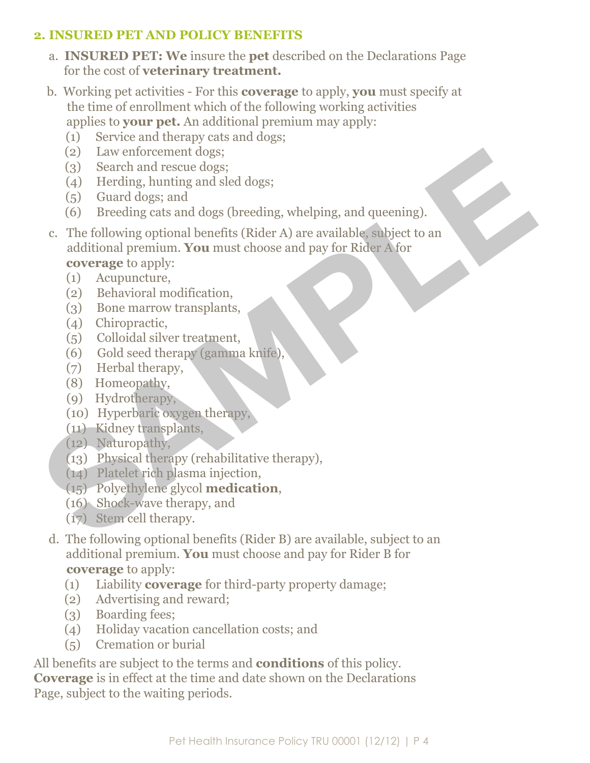#### **2. INSURED PET AND POLICY BENEFITS**

- a. **INSURED PET: We** insure the **pet** described on the Declarations Page for the cost of **veterinary treatment.**
- b. Working pet activities For this **coverage** to apply, **you** must specify at the time of enrollment which of the following working activities applies to **your pet.** An additional premium may apply:
	- (1) Service and therapy cats and dogs;
	- (2) Law enforcement dogs;
	- (3) Search and rescue dogs;
	- (4) Herding, hunting and sled dogs;
	- (5) Guard dogs; and
	- (6) Breeding cats and dogs (breeding, whelping, and queening).
- c. The following optional benefits (Rider A) are available, subject to an additional premium. **You** must choose and pay for Rider A for **coverage** to apply: (2) Law enforcement dogs;<br>
(3) Search and rescue dogs;<br>
(3) Search and rescue dogs;<br>
(5) Guard dogs; and<br>
(6) Breeding cats and dogs (breeding, whelping, and queening).<br>
(6) Breeding cats and dogs (breeding, whelping, and
	- (1) Acupuncture,
	- (2) Behavioral modification,
	- (3) Bone marrow transplants,
	- (4) Chiropractic,
	- (5) Colloidal silver treatment,
	- (6) Gold seed therapy (gamma knife),
	- (7) Herbal therapy,
	- (8) Homeopathy,
	- (9) Hydrotherapy,
	- (10) Hyperbaric oxygen therapy,
	- (11) Kidney transplants,
	- (12) Naturopathy,
	- (13) Physical therapy (rehabilitative therapy),
	- (14) Platelet rich plasma injection,
	- (15) Polyethylene glycol **medication**,
	- (16) Shock-wave therapy, and
	- (17) Stem cell therapy.
	- d. The following optional benefits (Rider B) are available, subject to an additional premium. **You** must choose and pay for Rider B for **coverage** to apply:
		- (1) Liability **coverage** for third-party property damage;
		- (2) Advertising and reward;
		- (3) Boarding fees;
		- (4) Holiday vacation cancellation costs; and
		- (5) Cremation or burial

All benefits are subject to the terms and **conditions** of this policy. **Coverage** is in effect at the time and date shown on the Declarations Page, subject to the waiting periods.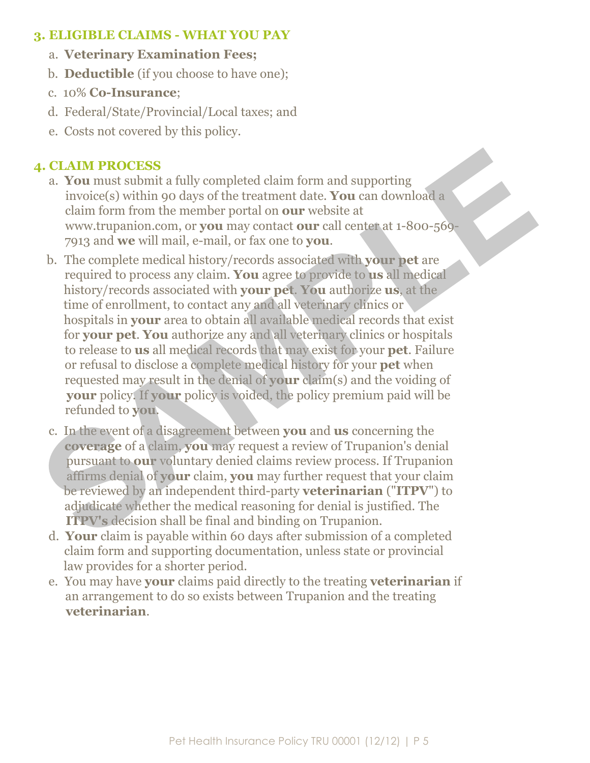#### **3. ELIGIBLE CLAIMS - WHAT YOU PAY**

- a. **Veterinary Examination Fees;**
- b. **Deductible** (if you choose to have one);
- c. 10% **Co-Insurance**;
- d. Federal/State/Provincial/Local taxes; and
- e. Costs not covered by this policy.

#### **4. CLAIM PROCESS**

- a. **You** must submit a fully completed claim form and supporting invoice(s) within 90 days of the treatment date. **You** can download a claim form from the member portal on **our** website at www.trupanion.com, or **you** may contact **our** call center at 1-800-569- 7913 and **we** will mail, e-mail, or fax one to **you**.
- b. The complete medical history/records associated with **your pet** are required to process any claim. **You** agree to provide to **us** all medical history/records associated with **your pet**. **You** authorize **us**, at the time of enrollment, to contact any and all veterinary clinics or hospitals in **your** area to obtain all available medical records that exist for **your pet**. **You** authorize any and all veterinary clinics or hospitals to release to **us** all medical records that may exist for your **pet**. Failure or refusal to disclose a complete medical history for your **pet** when requested may result in the denial of **your** claim(s) and the voiding of **your** policy. If **your** policy is voided, the policy premium paid will be refunded to **you**. **4. CLAIM PROCESS**<br> **a. You** must submit a fully completed claim form and supporting<br>
invoice(s) within 90 days of the treatment date. You can download a<br>
claim form from the member portal on our website at<br>
www.trupanion
	- c. In the event of a disagreement between **you** and **us** concerning the **coverage** of a claim, **you** may request a review of Trupanion's denial pursuant to **our** voluntary denied claims review process. If Trupanion affirms denial of **your** claim, **you** may further request that your claim be reviewed by an independent third-party **veterinarian** ("**ITPV**") to adjudicate whether the medical reasoning for denial is justified. The **ITPV's** decision shall be final and binding on Trupanion.
	- d. **Your** claim is payable within 60 days after submission of a completed claim form and supporting documentation, unless state or provincial law provides for a shorter period.
	- e. You may have **your** claims paid directly to the treating **veterinarian** if an arrangement to do so exists between Trupanion and the treating **veterinarian**.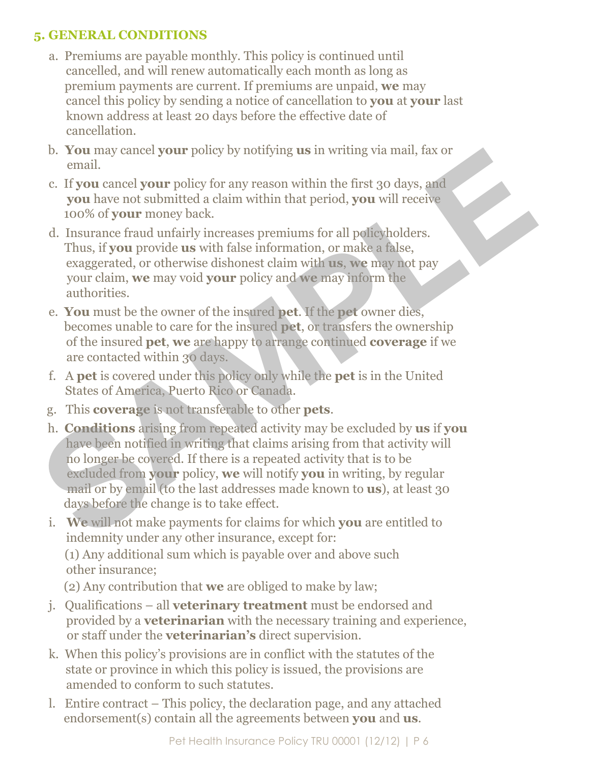#### **5. GENERAL CONDITIONS**

- a. Premiums are payable monthly. This policy is continued until cancelled, and will renew automatically each month as long as premium payments are current. If premiums are unpaid, **we** may cancel this policy by sending a notice of cancellation to **you** at **your** last known address at least 20 days before the effective date of cancellation.
- b. **You** may cancel **your** policy by notifying **us** in writing via mail, fax or email.
- c. If **you** cancel **your** policy for any reason within the first 30 days, and **you** have not submitted a claim within that period, **you** will receive 100% of **your** money back.
- d. Insurance fraud unfairly increases premiums for all policyholders. Thus, if **you** provide **us** with false information, or make a false, exaggerated, or otherwise dishonest claim with **us**, **we** may not pay your claim, **we** may void **your** policy and **we** may inform the authorities.
- e. **You** must be the owner of the insured **pet**. If the **pet** owner dies, becomes unable to care for the insured **pet**, or transfers the ownership of the insured **pet**, **we** are happy to arrange continued **coverage** if we are contacted within 30 days.
- f. A **pet** is covered under this policy only while the **pet** is in the United States of America, Puerto Rico or Canada.
- g. This **coverage** is not transferable to other **pets**.
- h. **Conditions** arising from repeated activity may be excluded by **us** if **you** have been notified in writing that claims arising from that activity will no longer be covered. If there is a repeated activity that is to be excluded from **your** policy, **we** will notify **you** in writing, by regular mail or by email (to the last addresses made known to **us**), at least 30 days before the change is to take effect. Boyd may cancel your pointy by notifying us in writing via mail, tax or<br>
email.<br>
c. If you cancel your policy for any reason within the first 30 days, and<br>
you have not submitted a claim within that period, you will recei
	- i. **We** will not make payments for claims for which **you** are entitled to indemnity under any other insurance, except for:

 (1) Any additional sum which is payable over and above such other insurance;

(2) Any contribution that **we** are obliged to make by law;

- j. Qualifications all **veterinary treatment** must be endorsed and provided by a **veterinarian** with the necessary training and experience, or staff under the **veterinarian's** direct supervision.
- k. When this policy's provisions are in conflict with the statutes of the state or province in which this policy is issued, the provisions are amended to conform to such statutes.
- l. Entire contract This policy, the declaration page, and any attached endorsement(s) contain all the agreements between **you** and **us**.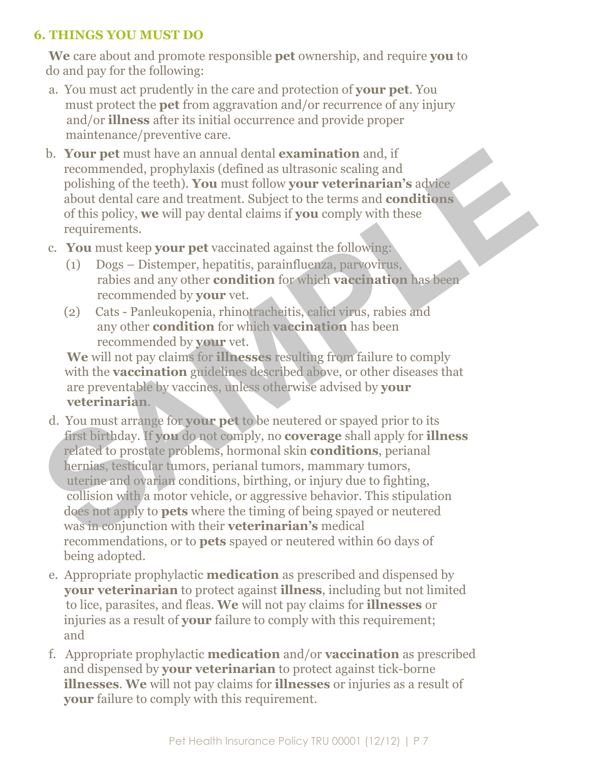#### **6. THINGS YOU MUST DO**

 **We** care about and promote responsible **pet** ownership, and require **you** to do and pay for the following:

- a. You must act prudently in the care and protection of **your pet**. You must protect the **pet** from aggravation and/or recurrence of any injury and/or **illness** after its initial occurrence and provide proper maintenance/preventive care.
- b. **Your pet** must have an annual dental **examination** and, if recommended, prophylaxis (defined as ultrasonic scaling and polishing of the teeth). **You** must follow **your veterinarian's** advice about dental care and treatment. Subject to the terms and **conditions** of this policy, **we** will pay dental claims if **you** comply with these requirements.
- c. **You** must keep **your pet** vaccinated against the following:
	- (1) Dogs Distemper, hepatitis, parainfluenza, parvovirus, rabies and any other **condition** for which **vaccination** has been recommended by **your** vet.
	- (2) Cats Panleukopenia, rhinotracheitis, calici virus, rabies and any other **condition** for which **vaccination** has been recommended by **your** vet.

 **We** will not pay claims for **illnesses** resulting from failure to comply with the **vaccination** guidelines described above, or other diseases that are preventable by vaccines, unless otherwise advised by **your veterinarian**.

- d. You must arrange for **your pet** to be neutered or spayed prior to its first birthday. If **you** do not comply, no **coverage** shall apply for **illness** related to prostate problems, hormonal skin **conditions**, perianal hernias, testicular tumors, perianal tumors, mammary tumors, uterine and ovarian conditions, birthing, or injury due to fighting, collision with a motor vehicle, or aggressive behavior. This stipulation does not apply to **pets** where the timing of being spayed or neutered was in conjunction with their **veterinarian's** medical recommendations, or to **pets** spayed or neutered within 60 days of being adopted. b. **Your pet** must have an annual dental examination and, if<br>recommended, prophylaxis (defined as ultrasonic scaling and<br>polishing of the teeth). You must follow your veterinarian's advice<br>about dental care and treatment.
	- e. Appropriate prophylactic **medication** as prescribed and dispensed by **your veterinarian** to protect against **illness**, including but not limited to lice, parasites, and fleas. **We** will not pay claims for **illnesses** or injuries as a result of **your** failure to comply with this requirement; and
	- f. Appropriate prophylactic **medication** and/or **vaccination** as prescribed and dispensed by **your veterinarian** to protect against tick-borne **illnesses**. **We** will not pay claims for **illnesses** or injuries as a result of **your** failure to comply with this requirement.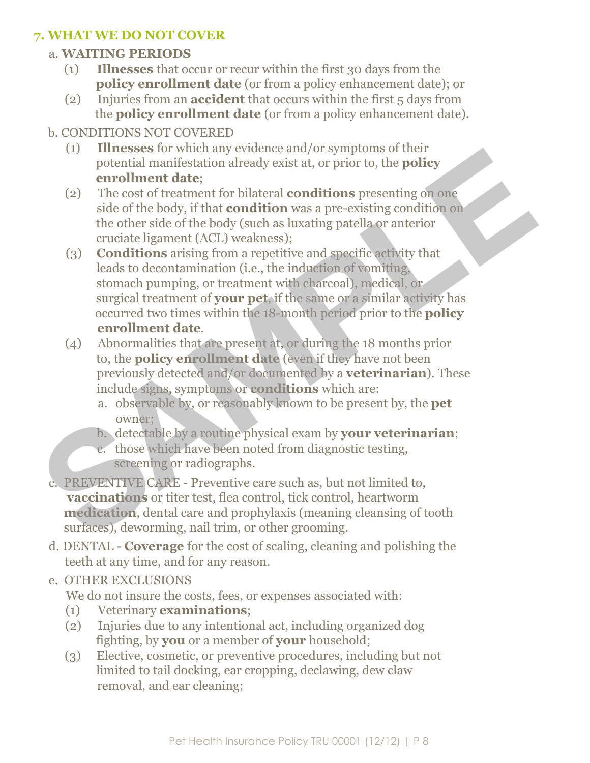#### **7. WHAT WE DO NOT COVER**

#### a. **WAITING PERIODS**

- (1) **Illnesses** that occur or recur within the first 30 days from the **policy enrollment date** (or from a policy enhancement date); or
- (2) Injuries from an **accident** that occurs within the first 5 days from the **policy enrollment date** (or from a policy enhancement date).

#### b. CONDITIONS NOT COVERED

- (1) **Illnesses** for which any evidence and/or symptoms of their potential manifestation already exist at, or prior to, the **policy enrollment date**;
- (2) The cost of treatment for bilateral **conditions** presenting on one side of the body, if that **condition** was a pre-existing condition on the other side of the body (such as luxating patella or anterior cruciate ligament (ACL) weakness);
- (3) **Conditions** arising from a repetitive and specific activity that leads to decontamination (i.e., the induction of vomiting, stomach pumping, or treatment with charcoal), medical, or surgical treatment of **your pet**, if the same or a similar activity has occurred two times within the 18-month period prior to the **policy enrollment date**. The season when any evacuate and/or sympons of using the product of the protocol and the sympon state of the body, if that **condition** was a pre-existing on one side of the body, if that **condition** was a pre-existing con
	- (4) Abnormalities that are present at, or during the 18 months prior to, the **policy enrollment date** (even if they have not been previously detected and/or documented by a **veterinarian**). These include signs, symptoms or **conditions** which are:
		- a. observable by, or reasonably known to be present by, the **pet** owner;
		- b. detectable by a routine physical exam by **your veterinarian**;
		- c. those which have been noted from diagnostic testing, screening or radiographs.

 c. PREVENTIVE CARE - Preventive care such as, but not limited to, **vaccinations** or titer test, flea control, tick control, heartworm **medication**, dental care and prophylaxis (meaning cleansing of tooth surfaces), deworming, nail trim, or other grooming.

 d. DENTAL - **Coverage** for the cost of scaling, cleaning and polishing the teeth at any time, and for any reason.

#### e. OTHER EXCLUSIONS

We do not insure the costs, fees, or expenses associated with:

- (1) Veterinary **examinations**;
- (2) Injuries due to any intentional act, including organized dog fighting, by **you** or a member of **your** household;
- (3) Elective, cosmetic, or preventive procedures, including but not limited to tail docking, ear cropping, declawing, dew claw removal, and ear cleaning;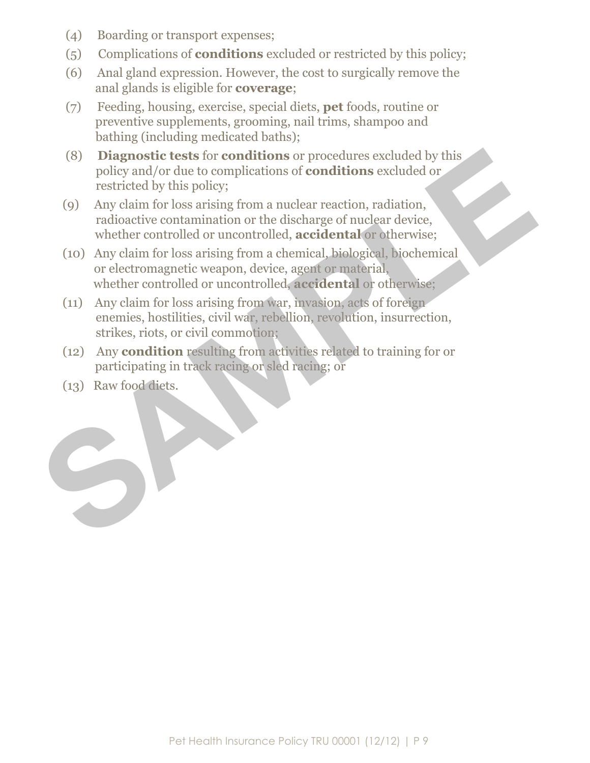- (4) Boarding or transport expenses;
- (5) Complications of **conditions** excluded or restricted by this policy;
- (6) Anal gland expression. However, the cost to surgically remove the anal glands is eligible for **coverage**;
- (7) Feeding, housing, exercise, special diets, **pet** foods, routine or preventive supplements, grooming, nail trims, shampoo and bathing (including medicated baths);
- (8) **Diagnostic tests** for **conditions** or procedures excluded by this policy and/or due to complications of **conditions** excluded or restricted by this policy;
- (9) Any claim for loss arising from a nuclear reaction, radiation, radioactive contamination or the discharge of nuclear device, whether controlled or uncontrolled, **accidental** or otherwise;
- (10) Any claim for loss arising from a chemical, biological, biochemical or electromagnetic weapon, device, agent or material, whether controlled or uncontrolled, **accidental** or otherwise; (8) **Diagnostic tests** for **conditions** or procedures excluded by this policy and/or due to complications of **conditions** excluded or restricted by this policy;<br>(9) Any claim for loss arising from a nuclear reaction, radi
	- (11) Any claim for loss arising from war, invasion, acts of foreign enemies, hostilities, civil war, rebellion, revolution, insurrection, strikes, riots, or civil commotion;
	- (12) Any **condition** resulting from activities related to training for or participating in track racing or sled racing; or
	- (13) Raw food diets.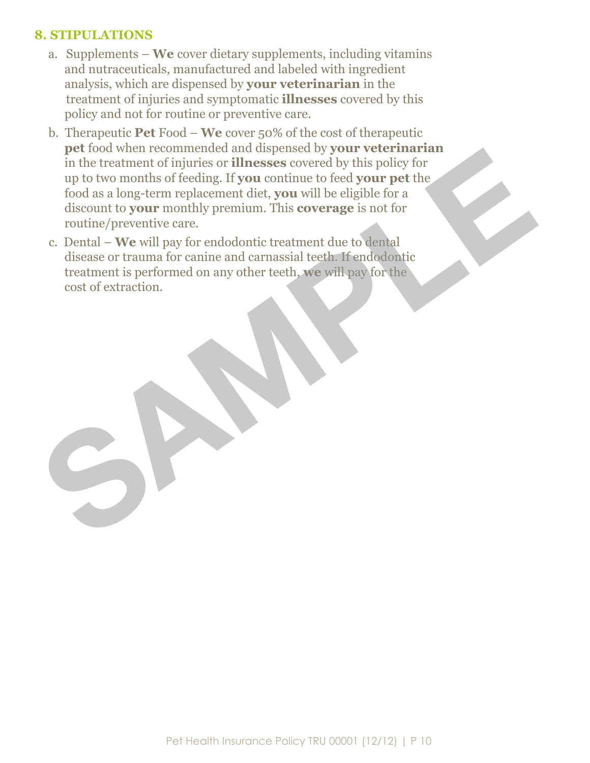#### **8. STIPULATIONS**

- a. Supplements **We** cover dietary supplements, including vitamins and nutraceuticals, manufactured and labeled with ingredient analysis, which are dispensed by **your veterinarian** in the treatment of injuries and symptomatic **illnesses** covered by this policy and not for routine or preventive care.
- b. Therapeutic **Pet** Food **We** cover 50% of the cost of therapeutic **pet** food when recommended and dispensed by **your veterinarian** in the treatment of injuries or **illnesses** covered by this policy for up to two months of feeding. If **you** continue to feed **your pet** the food as a long-term replacement diet, **you** will be eligible for a discount to **your** monthly premium. This **coverage** is not for routine/preventive care. per total when recommended and usepers of your vecernarian<br>in the treatment of injuries or illnesses covered by ythis policy for<br>type to two months of feeding. If you continue to feed your pet the<br>food as a long-term repla
	- c. Dental **We** will pay for endodontic treatment due to dental disease or trauma for canine and carnassial teeth. If endodontic treatment is performed on any other teeth, **we** will pay for the cost of extraction.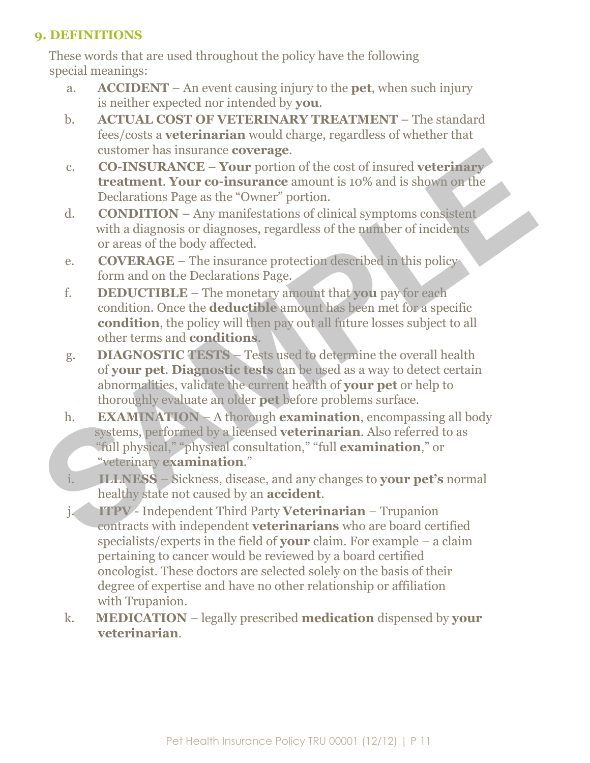#### **9. DEFINITIONS**

 These words that are used throughout the policy have the following special meanings:

- a. **ACCIDENT**  An event causing injury to the **pet**, when such injury is neither expected nor intended by **you**.
- b. **ACTUAL COST OF VETERINARY TREATMENT** The standard fees/costs a **veterinarian** would charge, regardless of whether that customer has insurance **coverage**.
- c. **CO-INSURANCE Your** portion of the cost of insured **veterinary treatment**. **Your co-insurance** amount is 10% and is shown on the Declarations Page as the "Owner" portion.
- d. **CONDITION**  Any manifestations of clinical symptoms consistent with a diagnosis or diagnoses, regardless of the number of incidents or areas of the body affected.
- e. **COVERAGE**  The insurance protection described in this policy form and on the Declarations Page.
- f. **DEDUCTIBLE**  The monetary amount that **you** pay for each condition. Once the **deductible** amount has been met for a specific **condition**, the policy will then pay out all future losses subject to all other terms and **conditions**.
- g. **DIAGNOSTIC TESTS** Tests used to determine the overall health of **your pet**. **Diagnostic tests** can be used as a way to detect certain abnormalities, validate the current health of **your pet** or help to thoroughly evaluate an older **pet** before problems surface.
- h. **EXAMINATION**  A thorough **examination**, encompassing all body systems, performed by a licensed **veterinarian**. Also referred to as "full physical," "physical consultation," "full **examination**," or "veterinary **examination**." existene nas usuarise coverage.<br>
Co-INSURANCE – Your portion of the cost of insured veterinary<br>
treatment. Your co-insurance amount is 10% and is shown on the<br>
Declearations Rege as the "Owner" portion.<br>
CONDITION – Any m
	- i. **ILLNESS**  Sickness, disease, and any changes to **your pet's** normal healthy state not caused by an **accident**.
	- j. **ITPV**  Independent Third Party **Veterinarian**  Trupanion contracts with independent **veterinarians** who are board certified specialists/experts in the field of **your** claim. For example – a claim pertaining to cancer would be reviewed by a board certified oncologist. These doctors are selected solely on the basis of their degree of expertise and have no other relationship or affiliation with Trupanion.
	- k. **MEDICATION**  legally prescribed **medication** dispensed by **your veterinarian**.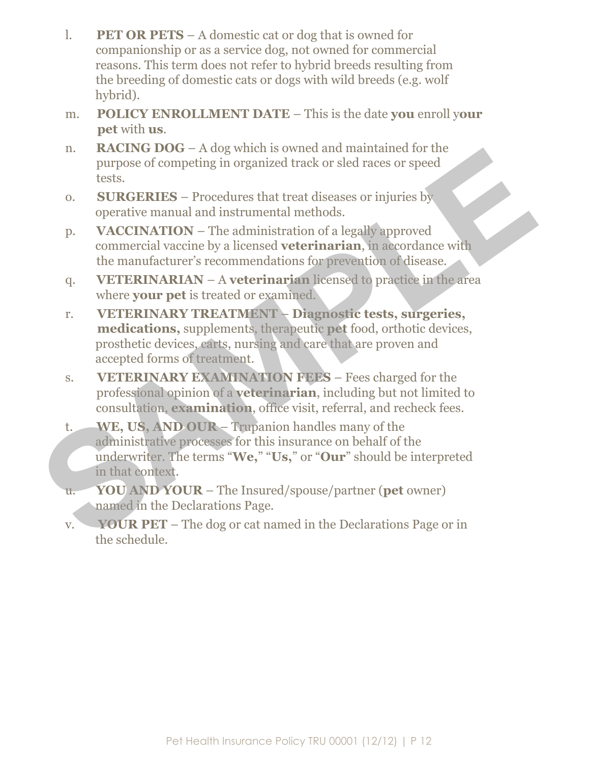- l. **PET OR PETS** A domestic cat or dog that is owned for companionship or as a service dog, not owned for commercial reasons. This term does not refer to hybrid breeds resulting from the breeding of domestic cats or dogs with wild breeds (e.g. wolf hybrid).
- m. **POLICY ENROLLMENT DATE**  This is the date **you** enroll y**our pet** with **us**.
- n. **RACING DOG** A dog which is owned and maintained for the purpose of competing in organized track or sled races or speed tests.
- o. **SURGERIES**  Procedures that treat diseases or injuries by operative manual and instrumental methods.
- p. **VACCINATION**  The administration of a legally approved commercial vaccine by a licensed **veterinarian**, in accordance with the manufacturer's recommendations for prevention of disease.
- q. **VETERINARIAN**  A **veterinarian** licensed to practice in the area where **your pet** is treated or examined.
- r. **VETERINARY TREATMENT Diagnostic tests, surgeries, medications,** supplements, therapeutic **pet** food, orthotic devices, prosthetic devices, carts, nursing and care that are proven and accepted forms of treatment. The MACHINE TOTO – A dog wincen since with the purpose of competing in organized track or sled races or speed<br>tests.<br>
0. SURGERIES – Procedures that treat diseases or injuries by<br>
operative manual and instrumental methods
	- s. **VETERINARY EXAMINATION FEES** Fees charged for the professional opinion of a **veterinarian**, including but not limited to consultation, **examination**, office visit, referral, and recheck fees.
	- t. **WE, US, AND OUR** Trupanion handles many of the administrative processes for this insurance on behalf of the underwriter. The terms "**We,**" "**Us,**" or "**Our**" should be interpreted in that context.
	- u. **YOU AND YOUR** The Insured/spouse/partner (**pet** owner) named in the Declarations Page.
	- v. **YOUR PET**  The dog or cat named in the Declarations Page or in the schedule.